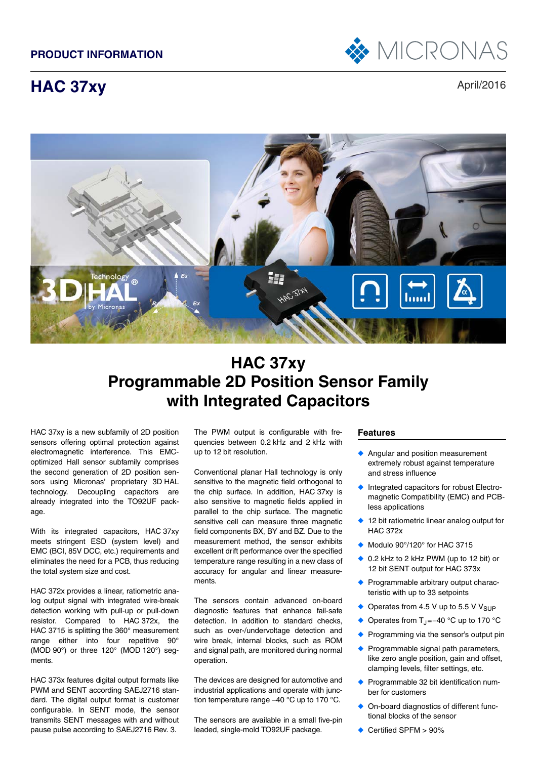

# **HAC 37xy** April/2016



# **HAC 37xy Programmable 2D Position Sensor Family with Integrated Capacitors**

HAC 37xy is a new subfamily of 2D position sensors offering optimal protection against electromagnetic interference. This EMCoptimized Hall sensor subfamily comprises the second generation of 2D position sensors using Micronas' proprietary 3D HAL technology. Decoupling capacitors are already integrated into the TO92UF package.

With its integrated capacitors, HAC 37xy meets stringent ESD (system level) and EMC (BCI, 85V DCC, etc.) requirements and eliminates the need for a PCB, thus reducing the total system size and cost.

HAC 372x provides a linear, ratiometric analog output signal with integrated wire-break detection working with pull-up or pull-down resistor. Compared to HAC 372x, the HAC 3715 is splitting the 360° measurement range either into four repetitive 90° (MOD 90°) or three 120° (MOD 120°) segments.

HAC 373x features digital output formats like PWM and SENT according SAEJ2716 standard. The digital output format is customer configurable. In SENT mode, the sensor transmits SENT messages with and without pause pulse according to SAEJ2716 Rev. 3.

The PWM output is configurable with frequencies between 0.2 kHz and 2 kHz with up to 12 bit resolution.

Conventional planar Hall technology is only sensitive to the magnetic field orthogonal to the chip surface. In addition, HAC 37xy is also sensitive to magnetic fields applied in parallel to the chip surface. The magnetic sensitive cell can measure three magnetic field components BX, BY and BZ. Due to the measurement method, the sensor exhibits excellent drift performance over the specified temperature range resulting in a new class of accuracy for angular and linear measurements.

The sensors contain advanced on-board diagnostic features that enhance fail-safe detection. In addition to standard checks, such as over-/undervoltage detection and wire break, internal blocks, such as ROM and signal path, are monitored during normal operation.

The devices are designed for automotive and industrial applications and operate with junction temperature range  $-40$  °C up to 170 °C.

The sensors are available in a small five-pin leaded, single-mold TO92UF package.

### **Features**

- ◆ Angular and position measurement extremely robust against temperature and stress influence
- Integrated capacitors for robust Electromagnetic Compatibility (EMC) and PCBless applications
- ◆ 12 bit ratiometric linear analog output for HAC 372x
- ◆ Modulo 90°/120° for HAC 3715
- ◆ 0.2 kHz to 2 kHz PWM (up to 12 bit) or 12 bit SENT output for HAC 373x
- ◆ Programmable arbitrary output characteristic with up to 33 setpoints
- ◆ Operates from 4.5 V up to 5.5 V V<sub>SUP</sub>
- ◆ Operates from T<sub>J</sub> = -40 °C up to 170 °C
- Programming via the sensor's output pin
- Programmable signal path parameters, like zero angle position, gain and offset, clamping levels, filter settings, etc.
- Programmable 32 bit identification number for customers
- On-board diagnostics of different functional blocks of the sensor
- Certified SPFM > 90%